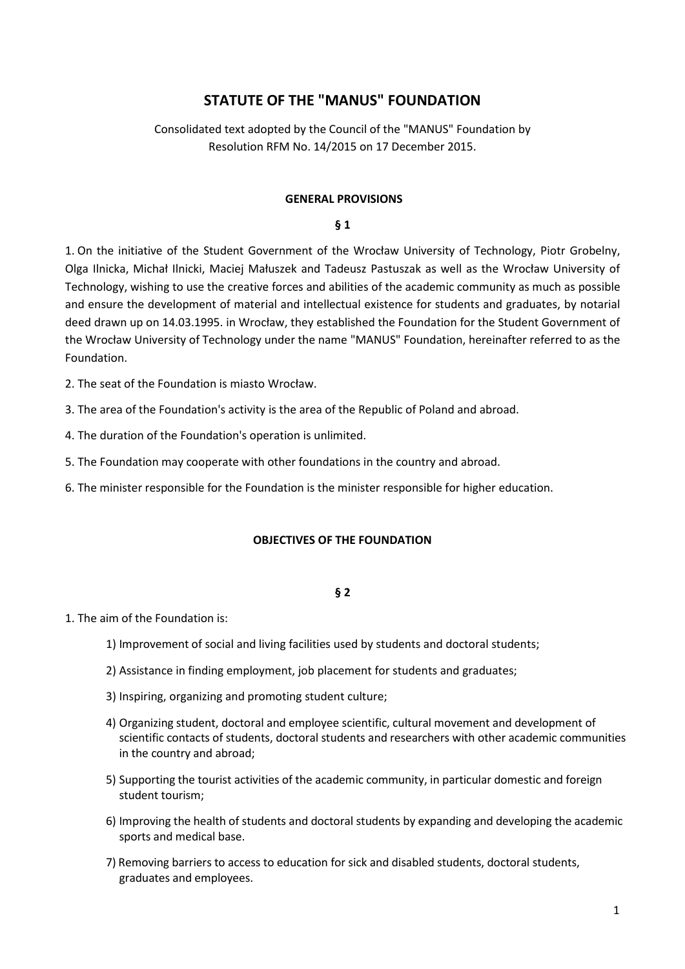# **STATUTE OF THE "MANUS" FOUNDATION**

# Consolidated text adopted by the Council of the "MANUS" Foundation by Resolution RFM No. 14/2015 on 17 December 2015.

#### **GENERAL PROVISIONS**

#### **§ 1**

1. On the initiative of the Student Government of the Wrocław University of Technology, Piotr Grobelny, Olga Ilnicka, Michał Ilnicki, Maciej Małuszek and Tadeusz Pastuszak as well as the Wrocław University of Technology, wishing to use the creative forces and abilities of the academic community as much as possible and ensure the development of material and intellectual existence for students and graduates, by notarial deed drawn up on 14.03.1995. in Wrocław, they established the Foundation for the Student Government of the Wrocław University of Technology under the name "MANUS" Foundation, hereinafter referred to as the Foundation.

2. The seat of the Foundation is miasto Wrocław.

3. The area of the Foundation's activity is the area of the Republic of Poland and abroad.

4. The duration of the Foundation's operation is unlimited.

5. The Foundation may cooperate with other foundations in the country and abroad.

6. The minister responsible for the Foundation is the minister responsible for higher education.

#### **OBJECTIVES OF THE FOUNDATION**

#### **§ 2**

1. The aim of the Foundation is:

- 1) Improvement of social and living facilities used by students and doctoral students;
- 2) Assistance in finding employment, job placement for students and graduates;
- 3) Inspiring, organizing and promoting student culture;
- 4) Organizing student, doctoral and employee scientific, cultural movement and development of scientific contacts of students, doctoral students and researchers with other academic communities in the country and abroad;
- 5) Supporting the tourist activities of the academic community, in particular domestic and foreign student tourism;
- 6) Improving the health of students and doctoral students by expanding and developing the academic sports and medical base.
- 7) Removing barriers to access to education for sick and disabled students, doctoral students, graduates and employees.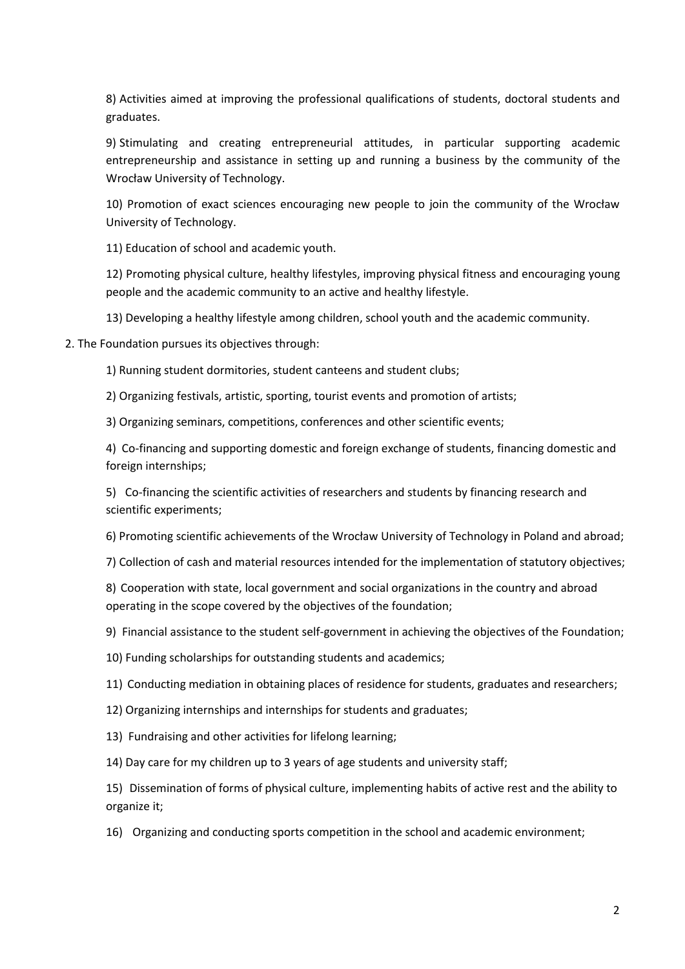8) Activities aimed at improving the professional qualifications of students, doctoral students and graduates.

9) Stimulating and creating entrepreneurial attitudes, in particular supporting academic entrepreneurship and assistance in setting up and running a business by the community of the Wrocław University of Technology.

10) Promotion of exact sciences encouraging new people to join the community of the Wrocław University of Technology.

11) Education of school and academic youth.

12) Promoting physical culture, healthy lifestyles, improving physical fitness and encouraging young people and the academic community to an active and healthy lifestyle.

13) Developing a healthy lifestyle among children, school youth and the academic community.

2. The Foundation pursues its objectives through:

1) Running student dormitories, student canteens and student clubs;

2) Organizing festivals, artistic, sporting, tourist events and promotion of artists;

3) Organizing seminars, competitions, conferences and other scientific events;

4) Co-financing and supporting domestic and foreign exchange of students, financing domestic and foreign internships;

5) Co-financing the scientific activities of researchers and students by financing research and scientific experiments;

6) Promoting scientific achievements of the Wrocław University of Technology in Poland and abroad;

7) Collection of cash and material resources intended for the implementation of statutory objectives;

8) Cooperation with state, local government and social organizations in the country and abroad operating in the scope covered by the objectives of the foundation;

9) Financial assistance to the student self-government in achieving the objectives of the Foundation;

10) Funding scholarships for outstanding students and academics;

11) Conducting mediation in obtaining places of residence for students, graduates and researchers;

12) Organizing internships and internships for students and graduates;

13) Fundraising and other activities for lifelong learning;

14) Day care for my children up to 3 years of age students and university staff;

15) Dissemination of forms of physical culture, implementing habits of active rest and the ability to organize it;

16) Organizing and conducting sports competition in the school and academic environment;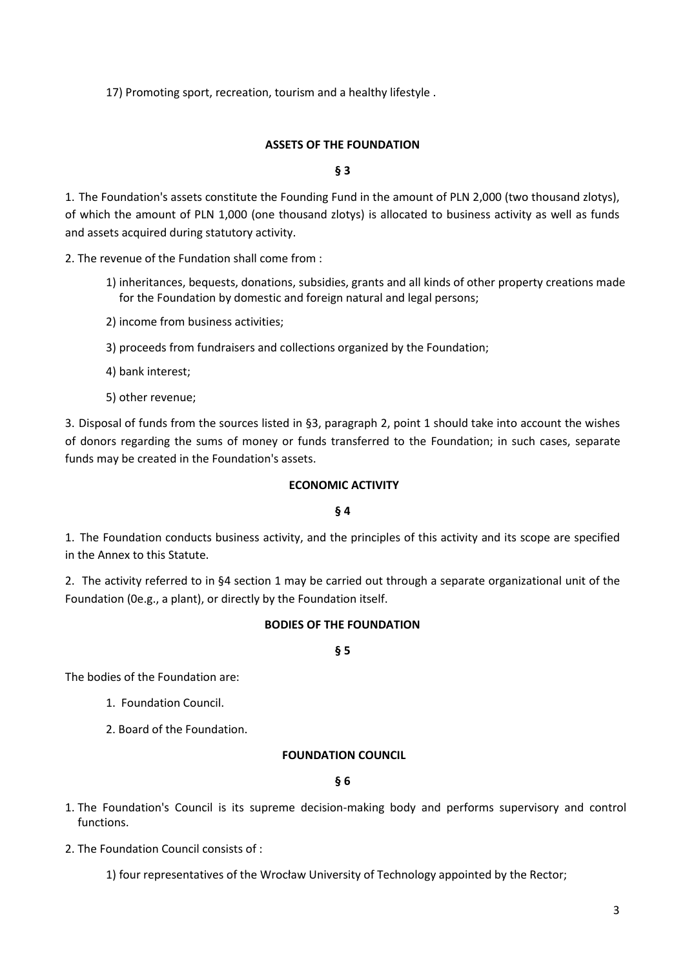17) Promoting sport, recreation, tourism and a healthy lifestyle .

# **ASSETS OF THE FOUNDATION**

### **§ 3**

1. The Foundation's assets constitute the Founding Fund in the amount of PLN 2,000 (two thousand zlotys), of which the amount of PLN 1,000 (one thousand zlotys) is allocated to business activity as well as funds and assets acquired during statutory activity.

2. The revenue of the Fundation shall come from :

- 1) inheritances, bequests, donations, subsidies, grants and all kinds of other property creations made for the Foundation by domestic and foreign natural and legal persons;
- 2) income from business activities;
- 3) proceeds from fundraisers and collections organized by the Foundation;
- 4) bank interest;
- 5) other revenue;

3. Disposal of funds from the sources listed in §3, paragraph 2, point 1 should take into account the wishes of donors regarding the sums of money or funds transferred to the Foundation; in such cases, separate funds may be created in the Foundation's assets.

### **ECONOMIC ACTIVITY**

### **§ 4**

1. The Foundation conducts business activity, and the principles of this activity and its scope are specified in the Annex to this Statute.

2. The activity referred to in §4 section 1 may be carried out through a separate organizational unit of the Foundation (0e.g., a plant), or directly by the Foundation itself.

# **BODIES OF THE FOUNDATION**

### **§ 5**

The bodies of the Foundation are:

1. Foundation Council.

2. Board of the Foundation.

### **FOUNDATION COUNCIL**

**§ 6**

- 1. The Foundation's Council is its supreme decision-making body and performs supervisory and control functions.
- 2. The Foundation Council consists of :

1) four representatives of the Wrocław University of Technology appointed by the Rector;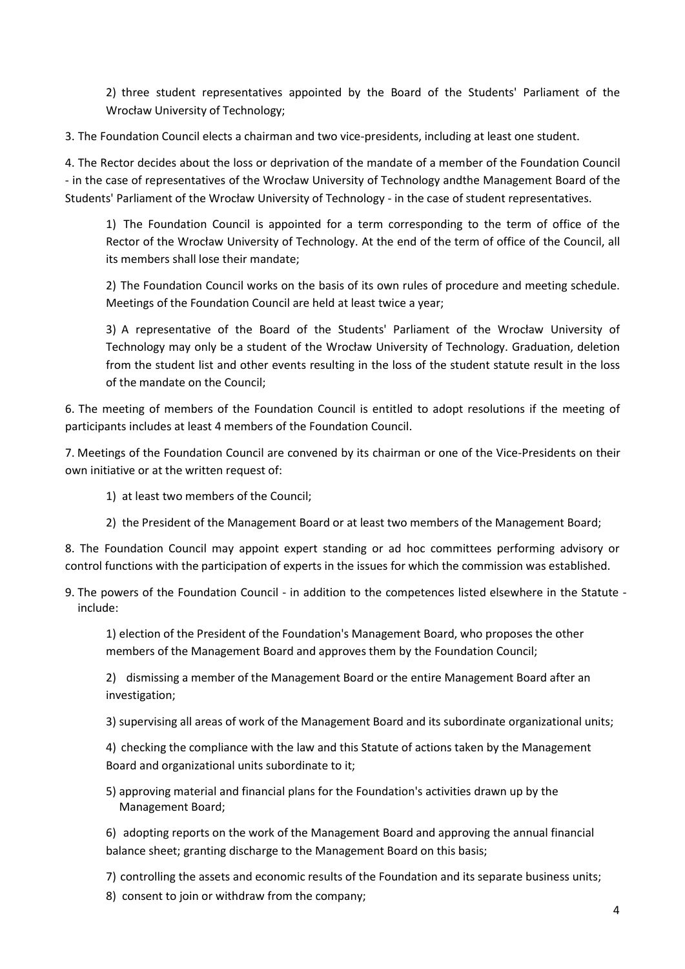2) three student representatives appointed by the Board of the Students' Parliament of the Wrocław University of Technology;

3. The Foundation Council elects a chairman and two vice-presidents, including at least one student.

4. The Rector decides about the loss or deprivation of the mandate of a member of the Foundation Council - in the case of representatives of the Wrocław University of Technology andthe Management Board of the Students' Parliament of the Wrocław University of Technology - in the case of student representatives.

1) The Foundation Council is appointed for a term corresponding to the term of office of the Rector of the Wrocław University of Technology. At the end of the term of office of the Council, all its members shall lose their mandate;

2) The Foundation Council works on the basis of its own rules of procedure and meeting schedule. Meetings of the Foundation Council are held at least twice a year;

3) A representative of the Board of the Students' Parliament of the Wrocław University of Technology may only be a student of the Wrocław University of Technology. Graduation, deletion from the student list and other events resulting in the loss of the student statute result in the loss of the mandate on the Council;

6. The meeting of members of the Foundation Council is entitled to adopt resolutions if the meeting of participants includes at least 4 members of the Foundation Council.

7. Meetings of the Foundation Council are convened by its chairman or one of the Vice-Presidents on their own initiative or at the written request of:

- 1) at least two members of the Council;
- 2) the President of the Management Board or at least two members of the Management Board;

8. The Foundation Council may appoint expert standing or ad hoc committees performing advisory or control functions with the participation of experts in the issues for which the commission was established.

9. The powers of the Foundation Council - in addition to the competences listed elsewhere in the Statute include:

1) election of the President of the Foundation's Management Board, who proposes the other members of the Management Board and approves them by the Foundation Council;

2) dismissing a member of the Management Board or the entire Management Board after an investigation;

3) supervising all areas of work of the Management Board and its subordinate organizational units;

4) checking the compliance with the law and this Statute of actions taken by the Management Board and organizational units subordinate to it;

5) approving material and financial plans for the Foundation's activities drawn up by the Management Board;

6) adopting reports on the work of the Management Board and approving the annual financial balance sheet; granting discharge to the Management Board on this basis;

- 7) controlling the assets and economic results of the Foundation and its separate business units;
- 8) consent to join or withdraw from the company;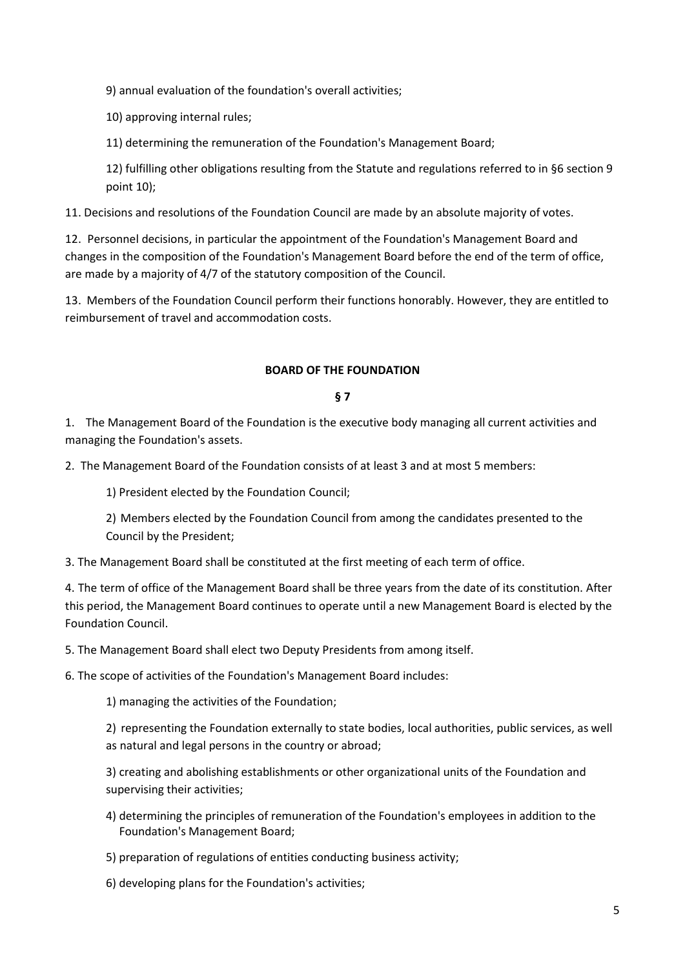9) annual evaluation of the foundation's overall activities;

10) approving internal rules;

11) determining the remuneration of the Foundation's Management Board;

12) fulfilling other obligations resulting from the Statute and regulations referred to in §6 section 9 point 10);

11. Decisions and resolutions of the Foundation Council are made by an absolute majority of votes.

12. Personnel decisions, in particular the appointment of the Foundation's Management Board and changes in the composition of the Foundation's Management Board before the end of the term of office, are made by a majority of 4/7 of the statutory composition of the Council.

13. Members of the Foundation Council perform their functions honorably. However, they are entitled to reimbursement of travel and accommodation costs.

# **BOARD OF THE FOUNDATION**

### **§ 7**

1. The Management Board of the Foundation is the executive body managing all current activities and managing the Foundation's assets.

2. The Management Board of the Foundation consists of at least 3 and at most 5 members:

1) President elected by the Foundation Council;

2) Members elected by the Foundation Council from among the candidates presented to the Council by the President;

3. The Management Board shall be constituted at the first meeting of each term of office.

4. The term of office of the Management Board shall be three years from the date of its constitution. After this period, the Management Board continues to operate until a new Management Board is elected by the Foundation Council.

5. The Management Board shall elect two Deputy Presidents from among itself.

6. The scope of activities of the Foundation's Management Board includes:

1) managing the activities of the Foundation;

2) representing the Foundation externally to state bodies, local authorities, public services, as well as natural and legal persons in the country or abroad;

3) creating and abolishing establishments or other organizational units of the Foundation and supervising their activities;

4) determining the principles of remuneration of the Foundation's employees in addition to the Foundation's Management Board;

5) preparation of regulations of entities conducting business activity;

6) developing plans for the Foundation's activities;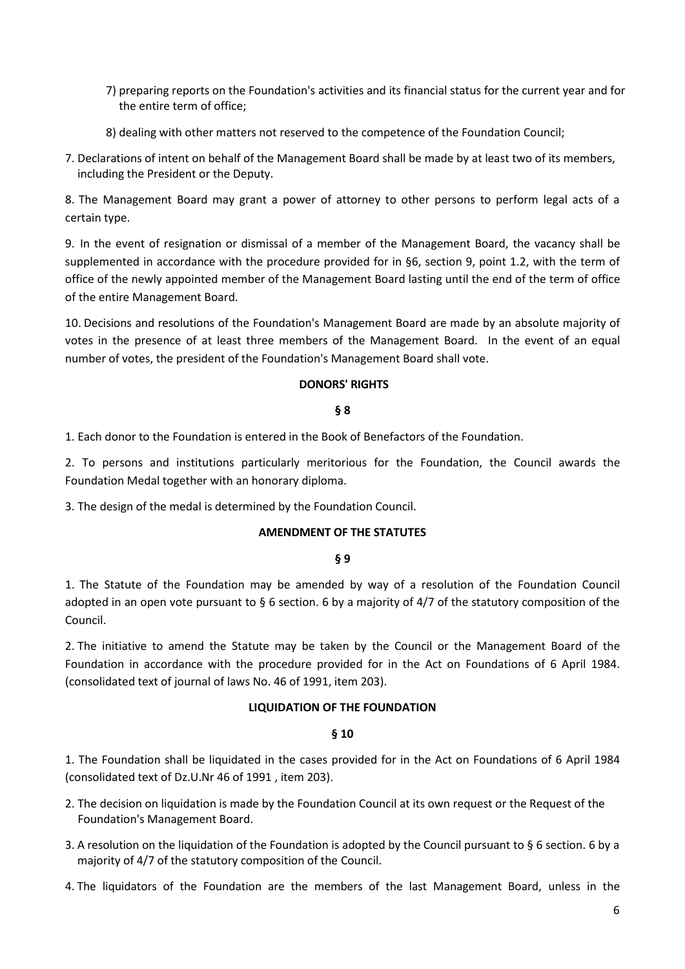- 7) preparing reports on the Foundation's activities and its financial status for the current year and for the entire term of office;
- 8) dealing with other matters not reserved to the competence of the Foundation Council;
- 7. Declarations of intent on behalf of the Management Board shall be made by at least two of its members, including the President or the Deputy.

8. The Management Board may grant a power of attorney to other persons to perform legal acts of a certain type.

9. In the event of resignation or dismissal of a member of the Management Board, the vacancy shall be supplemented in accordance with the procedure provided for in §6, section 9, point 1.2, with the term of office of the newly appointed member of the Management Board lasting until the end of the term of office of the entire Management Board.

10. Decisions and resolutions of the Foundation's Management Board are made by an absolute majority of votes in the presence of at least three members of the Management Board. In the event of an equal number of votes, the president of the Foundation's Management Board shall vote.

# **DONORS' RIGHTS**

# **§ 8**

1. Each donor to the Foundation is entered in the Book of Benefactors of the Foundation.

2. To persons and institutions particularly meritorious for the Foundation, the Council awards the Foundation Medal together with an honorary diploma.

3. The design of the medal is determined by the Foundation Council.

### **AMENDMENT OF THE STATUTES**

### **§ 9**

1. The Statute of the Foundation may be amended by way of a resolution of the Foundation Council adopted in an open vote pursuant to § 6 section. 6 by a majority of 4/7 of the statutory composition of the Council.

2. The initiative to amend the Statute may be taken by the Council or the Management Board of the Foundation in accordance with the procedure provided for in the Act on Foundations of 6 April 1984. (consolidated text of journal of laws No. 46 of 1991, item 203).

### **LIQUIDATION OF THE FOUNDATION**

### **§ 10**

1. The Foundation shall be liquidated in the cases provided for in the Act on Foundations of 6 April 1984 (consolidated text of Dz.U.Nr 46 of 1991 , item 203).

- 2. The decision on liquidation is made by the Foundation Council at its own request or the Request of the Foundation's Management Board.
- 3. A resolution on the liquidation of the Foundation is adopted by the Council pursuant to § 6 section. 6 by a majority of 4/7 of the statutory composition of the Council.
- 4. The liquidators of the Foundation are the members of the last Management Board, unless in the